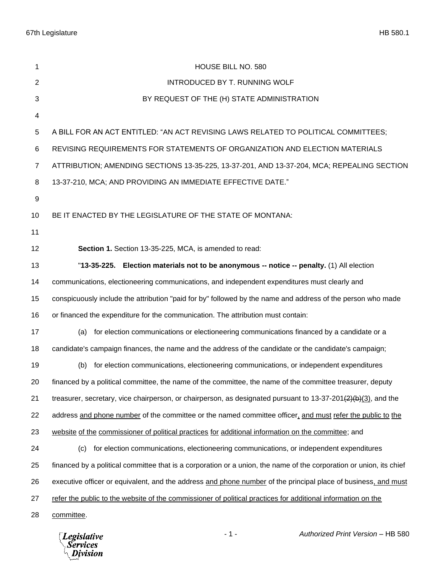| 1                | HOUSE BILL NO. 580                                                                                                  |  |  |  |  |
|------------------|---------------------------------------------------------------------------------------------------------------------|--|--|--|--|
| $\overline{2}$   | INTRODUCED BY T. RUNNING WOLF                                                                                       |  |  |  |  |
| 3                | BY REQUEST OF THE (H) STATE ADMINISTRATION                                                                          |  |  |  |  |
| 4                |                                                                                                                     |  |  |  |  |
| 5                | A BILL FOR AN ACT ENTITLED: "AN ACT REVISING LAWS RELATED TO POLITICAL COMMITTEES;                                  |  |  |  |  |
| 6                | REVISING REQUIREMENTS FOR STATEMENTS OF ORGANIZATION AND ELECTION MATERIALS                                         |  |  |  |  |
| $\overline{7}$   | ATTRIBUTION; AMENDING SECTIONS 13-35-225, 13-37-201, AND 13-37-204, MCA; REPEALING SECTION                          |  |  |  |  |
| 8                | 13-37-210, MCA; AND PROVIDING AN IMMEDIATE EFFECTIVE DATE."                                                         |  |  |  |  |
| $\boldsymbol{9}$ |                                                                                                                     |  |  |  |  |
| 10               | BE IT ENACTED BY THE LEGISLATURE OF THE STATE OF MONTANA:                                                           |  |  |  |  |
| 11               |                                                                                                                     |  |  |  |  |
| 12               | Section 1. Section 13-35-225, MCA, is amended to read:                                                              |  |  |  |  |
| 13               | "13-35-225. Election materials not to be anonymous -- notice -- penalty. (1) All election                           |  |  |  |  |
| 14               | communications, electioneering communications, and independent expenditures must clearly and                        |  |  |  |  |
| 15               | conspicuously include the attribution "paid for by" followed by the name and address of the person who made         |  |  |  |  |
| 16               | or financed the expenditure for the communication. The attribution must contain:                                    |  |  |  |  |
| 17               | (a) for election communications or electioneering communications financed by a candidate or a                       |  |  |  |  |
| 18               | candidate's campaign finances, the name and the address of the candidate or the candidate's campaign;               |  |  |  |  |
| 19               | for election communications, electioneering communications, or independent expenditures<br>(b)                      |  |  |  |  |
| 20               | financed by a political committee, the name of the committee, the name of the committee treasurer, deputy           |  |  |  |  |
| 21               | treasurer, secretary, vice chairperson, or chairperson, as designated pursuant to $13-37-201(2)(b)(3)$ , and the    |  |  |  |  |
| 22               | address and phone number of the committee or the named committee officer, and must refer the public to the          |  |  |  |  |
| 23               | website of the commissioner of political practices for additional information on the committee; and                 |  |  |  |  |
| 24               | for election communications, electioneering communications, or independent expenditures<br>(c)                      |  |  |  |  |
| 25               | financed by a political committee that is a corporation or a union, the name of the corporation or union, its chief |  |  |  |  |
| 26               | executive officer or equivalent, and the address and phone number of the principal place of business, and must      |  |  |  |  |
| 27               | refer the public to the website of the commissioner of political practices for additional information on the        |  |  |  |  |
| 28               | committee.                                                                                                          |  |  |  |  |

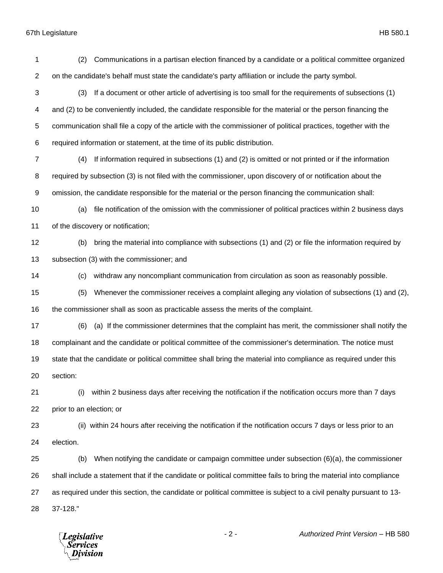67th Legislature HB 580.1

| 1              | Communications in a partisan election financed by a candidate or a political committee organized<br>(2)            |  |  |  |  |
|----------------|--------------------------------------------------------------------------------------------------------------------|--|--|--|--|
| $\mathbf{2}$   | on the candidate's behalf must state the candidate's party affiliation or include the party symbol.                |  |  |  |  |
| 3              | If a document or other article of advertising is too small for the requirements of subsections (1)<br>(3)          |  |  |  |  |
| 4              | and (2) to be conveniently included, the candidate responsible for the material or the person financing the        |  |  |  |  |
| 5              | communication shall file a copy of the article with the commissioner of political practices, together with the     |  |  |  |  |
| 6              | required information or statement, at the time of its public distribution.                                         |  |  |  |  |
| $\overline{7}$ | If information required in subsections (1) and (2) is omitted or not printed or if the information<br>(4)          |  |  |  |  |
| 8              | required by subsection (3) is not filed with the commissioner, upon discovery of or notification about the         |  |  |  |  |
| 9              | omission, the candidate responsible for the material or the person financing the communication shall:              |  |  |  |  |
| 10             | file notification of the omission with the commissioner of political practices within 2 business days<br>(a)       |  |  |  |  |
| 11             | of the discovery or notification;                                                                                  |  |  |  |  |
| 12             | bring the material into compliance with subsections (1) and (2) or file the information required by<br>(b)         |  |  |  |  |
| 13             | subsection (3) with the commissioner; and                                                                          |  |  |  |  |
| 14             | withdraw any noncompliant communication from circulation as soon as reasonably possible.<br>(c)                    |  |  |  |  |
| 15             | Whenever the commissioner receives a complaint alleging any violation of subsections (1) and (2),<br>(5)           |  |  |  |  |
| 16             | the commissioner shall as soon as practicable assess the merits of the complaint.                                  |  |  |  |  |
| 17             | (a) If the commissioner determines that the complaint has merit, the commissioner shall notify the<br>(6)          |  |  |  |  |
| 18             | complainant and the candidate or political committee of the commissioner's determination. The notice must          |  |  |  |  |
| 19             | state that the candidate or political committee shall bring the material into compliance as required under this    |  |  |  |  |
| 20             | section:                                                                                                           |  |  |  |  |
| 21             | within 2 business days after receiving the notification if the notification occurs more than 7 days<br>(i)         |  |  |  |  |
| 22             | prior to an election; or                                                                                           |  |  |  |  |
| 23             | (ii) within 24 hours after receiving the notification if the notification occurs 7 days or less prior to an        |  |  |  |  |
| 24             | election.                                                                                                          |  |  |  |  |
| 25             | When notifying the candidate or campaign committee under subsection $(6)(a)$ , the commissioner<br>(b)             |  |  |  |  |
| 26             | shall include a statement that if the candidate or political committee fails to bring the material into compliance |  |  |  |  |
| 27             | as required under this section, the candidate or political committee is subject to a civil penalty pursuant to 13- |  |  |  |  |
| 28             | 37-128."                                                                                                           |  |  |  |  |

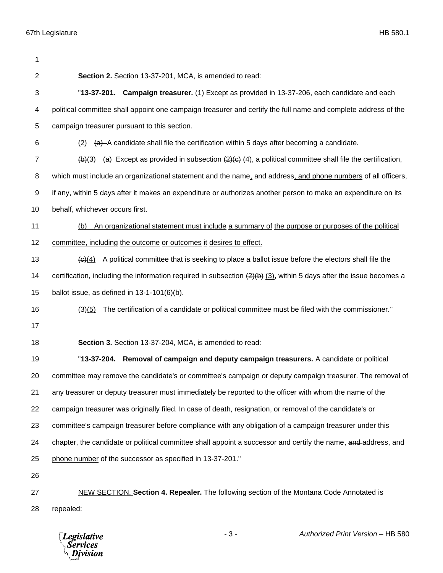| 1              |                                                                                                                                     |  |  |  |  |
|----------------|-------------------------------------------------------------------------------------------------------------------------------------|--|--|--|--|
| 2              | Section 2. Section 13-37-201, MCA, is amended to read:                                                                              |  |  |  |  |
| 3              | "13-37-201. Campaign treasurer. (1) Except as provided in 13-37-206, each candidate and each                                        |  |  |  |  |
| 4              | political committee shall appoint one campaign treasurer and certify the full name and complete address of the                      |  |  |  |  |
| 5              | campaign treasurer pursuant to this section.                                                                                        |  |  |  |  |
| 6              | (a) A candidate shall file the certification within 5 days after becoming a candidate.<br>(2)                                       |  |  |  |  |
| $\overline{7}$ | (a) Except as provided in subsection $\left(2\right)\left(4\right)$ , a political committee shall file the certification,<br>(b)(3) |  |  |  |  |
| 8              | which must include an organizational statement and the name, and address, and phone numbers of all officers,                        |  |  |  |  |
| 9              | if any, within 5 days after it makes an expenditure or authorizes another person to make an expenditure on its                      |  |  |  |  |
| 10             | behalf, whichever occurs first.                                                                                                     |  |  |  |  |
| 11             | An organizational statement must include a summary of the purpose or purposes of the political<br>(b)                               |  |  |  |  |
| 12             | committee, including the outcome or outcomes it desires to effect.                                                                  |  |  |  |  |
| 13             | A political committee that is seeking to place a ballot issue before the electors shall file the<br>$\left( 6 \right) (4)$          |  |  |  |  |
| 14             | certification, including the information required in subsection $(2)(b)$ $(3)$ , within 5 days after the issue becomes a            |  |  |  |  |
| 15             | ballot issue, as defined in $13-1-101(6)(b)$ .                                                                                      |  |  |  |  |
| 16             | The certification of a candidate or political committee must be filed with the commissioner."<br>(3)(5)                             |  |  |  |  |
| 17             |                                                                                                                                     |  |  |  |  |
| 18             | Section 3. Section 13-37-204, MCA, is amended to read:                                                                              |  |  |  |  |
| 19             | "13-37-204. Removal of campaign and deputy campaign treasurers. A candidate or political                                            |  |  |  |  |
| 20             | committee may remove the candidate's or committee's campaign or deputy campaign treasurer. The removal of                           |  |  |  |  |
| 21             | any treasurer or deputy treasurer must immediately be reported to the officer with whom the name of the                             |  |  |  |  |
| 22             | campaign treasurer was originally filed. In case of death, resignation, or removal of the candidate's or                            |  |  |  |  |
| 23             | committee's campaign treasurer before compliance with any obligation of a campaign treasurer under this                             |  |  |  |  |
| 24             | chapter, the candidate or political committee shall appoint a successor and certify the name, and address, and                      |  |  |  |  |
| 25             | phone number of the successor as specified in 13-37-201."                                                                           |  |  |  |  |
| 26             |                                                                                                                                     |  |  |  |  |
| 27             | NEW SECTION. Section 4. Repealer. The following section of the Montana Code Annotated is                                            |  |  |  |  |
| 28             | repealed:                                                                                                                           |  |  |  |  |